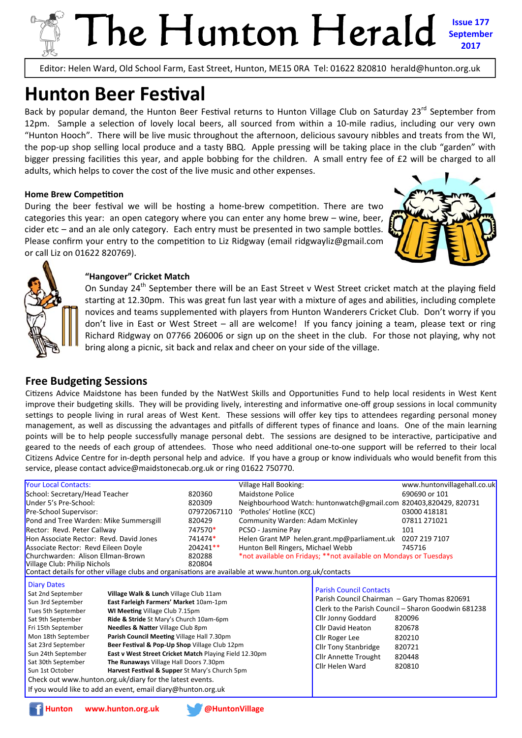# The Hunton Herald **Issue 177 September 2017**

Editor: Helen Ward, Old School Farm, East Street, Hunton, ME15 0RA Tel: 01622 820810 herald@hunton.org.uk

# **Hunton Beer Festival**

Back by popular demand, the Hunton Beer Festival returns to Hunton Village Club on Saturday 23<sup>rd</sup> September from 12pm. Sample a selection of lovely local beers, all sourced from within a 10-mile radius, including our very own "Hunton Hooch". There will be live music throughout the afternoon, delicious savoury nibbles and treats from the WI, the pop-up shop selling local produce and a tasty BBQ. Apple pressing will be taking place in the club "garden" with bigger pressing facilities this year, and apple bobbing for the children. A small entry fee of £2 will be charged to all adults, which helps to cover the cost of the live music and other expenses.

#### **Home Brew Competition**

During the beer festival we will be hosting a home-brew competition. There are two categories this year: an open category where you can enter any home brew – wine, beer,  $cider etc$  – and an ale only category. Each entry must be presented in two sample bottles. Please confirm your entry to the competition to Liz Ridgway (email ridgwayliz@gmail.com or call Liz on 01622 820769).





#### **"Hangover" Cricket Match**

On Sunday 24<sup>th</sup> September there will be an East Street v West Street cricket match at the playing field starting at 12.30pm. This was great fun last year with a mixture of ages and abilities, including complete novices and teams supplemented with players from Hunton Wanderers Cricket Club. Don't worry if you don't live in East or West Street – all are welcome! If you fancy joining a team, please text or ring Richard Ridgway on 07766 206006 or sign up on the sheet in the club. For those not playing, why not bring along a picnic, sit back and relax and cheer on your side of the village.

## **Free Budgeting Sessions**

Citizens Advice Maidstone has been funded by the NatWest Skills and Opportunities Fund to help local residents in West Kent improve their budgeting skills. They will be providing lively, interesting and informative one-off group sessions in local community settings to people living in rural areas of West Kent. These sessions will offer key tips to attendees regarding personal money management, as well as discussing the advantages and pitfalls of different types of finance and loans. One of the main learning points will be to help people successfully manage personal debt. The sessions are designed to be interactive, participative and geared to the needs of each group of attendees. Those who need additional one-to-one support will be referred to their local Citizens Advice Centre for in-depth personal help and advice. If you have a group or know individuals who would benefit from this service, please contact advice@maidstonecab.org.uk or ring 01622 750770.

|                                                                                                                                                                                                                                                                                                                                                                                                                                                                                                                                                                                                                                                                                                                                                                 |             | Village Hall Booking:                                                                                                                            |                                                                                                                                                                              | www.huntonvillagehall.co.uk                                                                                      |  |  |  |
|-----------------------------------------------------------------------------------------------------------------------------------------------------------------------------------------------------------------------------------------------------------------------------------------------------------------------------------------------------------------------------------------------------------------------------------------------------------------------------------------------------------------------------------------------------------------------------------------------------------------------------------------------------------------------------------------------------------------------------------------------------------------|-------------|--------------------------------------------------------------------------------------------------------------------------------------------------|------------------------------------------------------------------------------------------------------------------------------------------------------------------------------|------------------------------------------------------------------------------------------------------------------|--|--|--|
| School: Secretary/Head Teacher                                                                                                                                                                                                                                                                                                                                                                                                                                                                                                                                                                                                                                                                                                                                  |             | <b>Maidstone Police</b>                                                                                                                          |                                                                                                                                                                              | 690690 or 101                                                                                                    |  |  |  |
| Under 5's Pre-School:                                                                                                                                                                                                                                                                                                                                                                                                                                                                                                                                                                                                                                                                                                                                           |             |                                                                                                                                                  |                                                                                                                                                                              |                                                                                                                  |  |  |  |
|                                                                                                                                                                                                                                                                                                                                                                                                                                                                                                                                                                                                                                                                                                                                                                 | 07972067110 | 'Potholes' Hotline (KCC)                                                                                                                         |                                                                                                                                                                              | 03000 418181                                                                                                     |  |  |  |
| Pond and Tree Warden: Mike Summersgill                                                                                                                                                                                                                                                                                                                                                                                                                                                                                                                                                                                                                                                                                                                          |             | Community Warden: Adam McKinley                                                                                                                  |                                                                                                                                                                              | 07811 271021                                                                                                     |  |  |  |
| Rector: Revd. Peter Callway                                                                                                                                                                                                                                                                                                                                                                                                                                                                                                                                                                                                                                                                                                                                     |             | PCSO - Jasmine Pay                                                                                                                               |                                                                                                                                                                              | 101                                                                                                              |  |  |  |
| Hon Associate Rector: Revd. David Jones                                                                                                                                                                                                                                                                                                                                                                                                                                                                                                                                                                                                                                                                                                                         |             | Helen Grant MP helen.grant.mp@parliament.uk                                                                                                      |                                                                                                                                                                              | 0207 219 7107                                                                                                    |  |  |  |
| Associate Rector: Revd Eileen Doyle                                                                                                                                                                                                                                                                                                                                                                                                                                                                                                                                                                                                                                                                                                                             |             | Hunton Bell Ringers, Michael Webb                                                                                                                |                                                                                                                                                                              | 745716                                                                                                           |  |  |  |
| Churchwarden: Alison Ellman-Brown                                                                                                                                                                                                                                                                                                                                                                                                                                                                                                                                                                                                                                                                                                                               |             | *not available on Fridays; **not available on Mondays or Tuesdays                                                                                |                                                                                                                                                                              |                                                                                                                  |  |  |  |
| Village Club: Philip Nichols                                                                                                                                                                                                                                                                                                                                                                                                                                                                                                                                                                                                                                                                                                                                    |             |                                                                                                                                                  |                                                                                                                                                                              |                                                                                                                  |  |  |  |
| Contact details for other village clubs and organisations are available at www.hunton.org.uk/contacts                                                                                                                                                                                                                                                                                                                                                                                                                                                                                                                                                                                                                                                           |             |                                                                                                                                                  |                                                                                                                                                                              |                                                                                                                  |  |  |  |
| <b>Diary Dates</b><br>Sat 2nd September<br>Village Walk & Lunch Village Club 11am<br>Sun 3rd September<br>East Farleigh Farmers' Market 10am-1pm<br>Tues 5th September<br>WI Meeting Village Club 7.15pm<br>Sat 9th September<br>Ride & Stride St Mary's Church 10am-6pm<br>Needles & Natter Village Club 8pm<br>Fri 15th September<br>Mon 18th September<br>Parish Council Meeting Village Hall 7.30pm<br>Sat 23rd September<br>Beer Festival & Pop-Up Shop Village Club 12pm<br>Sun 24th September<br>East v West Street Cricket Match Playing Field 12.30pm<br>Sat 30th September<br>The Runaways Village Hall Doors 7.30pm<br>Sun 1st October<br>Harvest Festival & Supper St Mary's Church 5pm<br>Check out www.hunton.org.uk/diary for the latest events. |             |                                                                                                                                                  | <b>Parish Council Contacts</b><br>Cllr Jonny Goddard<br>Cllr David Heaton<br>Cllr Roger Lee<br><b>Cllr Tony Stanbridge</b><br><b>Cllr Annette Trought</b><br>Cllr Helen Ward | Clerk to the Parish Council - Sharon Goodwin 681238<br>820096<br>820678<br>820210<br>820721<br>820448<br>820810  |  |  |  |
|                                                                                                                                                                                                                                                                                                                                                                                                                                                                                                                                                                                                                                                                                                                                                                 |             |                                                                                                                                                  |                                                                                                                                                                              |                                                                                                                  |  |  |  |
|                                                                                                                                                                                                                                                                                                                                                                                                                                                                                                                                                                                                                                                                                                                                                                 |             | 820360<br>820309<br>820429<br>747570*<br>741474*<br>204241**<br>820288<br>820804<br>If you would like to add an event, email diary@hunton.org.uk |                                                                                                                                                                              | Neighbourhood Watch: huntonwatch@gmail.com 820403,820429, 820731<br>Parish Council Chairman - Gary Thomas 820691 |  |  |  |



**Hunton www.hunton.org.uk @HuntonVillage** 

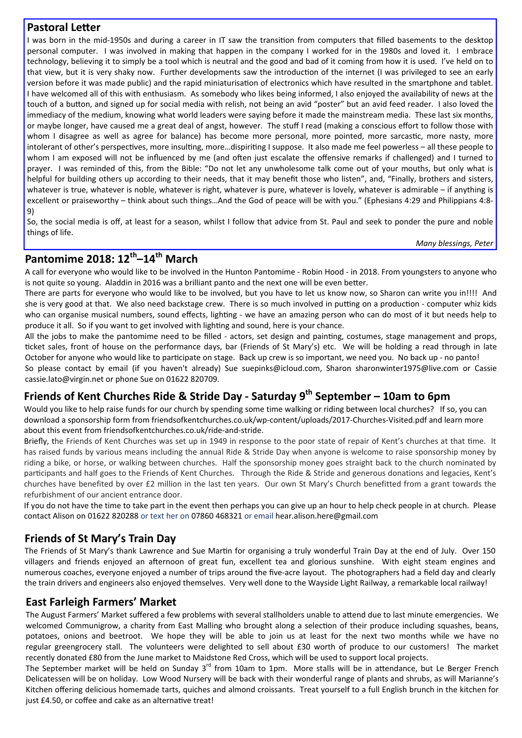## **Pastoral Letter**

I was born in the mid-1950s and during a career in IT saw the transition from computers that filled basements to the desktop personal computer. I was involved in making that happen in the company I worked for in the 1980s and loved it. I embrace technology, believing it to simply be a tool which is neutral and the good and bad of it coming from how it is used. I've held on to that view, but it is very shaky now. Further developments saw the introduction of the internet (I was privileged to see an early version before it was made public) and the rapid miniaturisation of electronics which have resulted in the smartphone and tablet. I have welcomed all of this with enthusiasm. As somebody who likes being informed, I also enjoyed the availability of news at the touch of a button, and signed up for social media with relish, not being an avid "poster" but an avid feed reader. I also loved the immediacy of the medium, knowing what world leaders were saying before it made the mainstream media. These last six months, or maybe longer, have caused me a great deal of angst, however. The stuff I read (making a conscious effort to follow those with whom I disagree as well as agree for balance) has become more personal, more pointed, more sarcastic, more nasty, more intolerant of other's perspectives, more insulting, more...dispiriting I suppose. It also made me feel powerless – all these people to whom I am exposed will not be influenced by me (and often just escalate the offensive remarks if challenged) and I turned to prayer. I was reminded of this, from the Bible: "Do not let any unwholesome talk come out of your mouths, but only what is helpful for building others up according to their needs, that it may benefit those who listen", and, "Finally, brothers and sisters, whatever is true, whatever is noble, whatever is right, whatever is pure, whatever is lovely, whatever is admirable – if anything is excellent or praiseworthy – think about such things…And the God of peace will be with you." (Ephesians 4:29 and Philippians 4:8- 9)

So, the social media is off, at least for a season, whilst I follow that advice from St. Paul and seek to ponder the pure and noble things of life.

*Many blessings, Peter*

## **Pantomime 2018: 12th–14th March**

A call for everyone who would like to be involved in the Hunton Pantomime - Robin Hood - in 2018. From youngsters to anyone who is not quite so young. Aladdin in 2016 was a brilliant panto and the next one will be even better.

There are parts for everyone who would like to be involved, but you have to let us know now, so Sharon can write you in!!!! And she is very good at that. We also need backstage crew. There is so much involved in putting on a production - computer whiz kids who can organise musical numbers, sound effects, lighting - we have an amazing person who can do most of it but needs help to produce it all. So if you want to get involved with lighting and sound, here is your chance.

All the jobs to make the pantomime need to be filled - actors, set design and painting, costumes, stage management and props, ticket sales, front of house on the performance days, bar (Friends of St Mary's) etc. We will be holding a read through in late October for anyone who would like to participate on stage. Back up crew is so important, we need you. No back up - no panto! So please contact by email (if you haven't already) Sue suepinks@icloud.com, Sharon sharonwinter1975@live.com or Cassie cassie.lato@virgin.net or phone Sue on 01622 820709.

## **Friends of Kent Churches Ride & Stride Day - Saturday 9th September – 10am to 6pm**

Would you like to help raise funds for our church by spending some time walking or riding between local churches? If so, you can download a sponsorship form from friendsofkentchurches.co.uk/wp-content/uploads/2017-Churches-Visited.pdf and learn more about this event from friendsofkentchurches.co.uk/ride-and-stride.

Briefly, the Friends of Kent Churches was set up in 1949 in response to the poor state of repair of Kent's churches at that time. It has raised funds by various means including the annual Ride & Stride Day when anyone is welcome to raise sponsorship money by riding a bike, or horse, or walking between churches. Half the sponsorship money goes straight back to the church nominated by participants and half goes to the Friends of Kent Churches. Through the Ride & Stride and generous donations and legacies, Kent's churches have benefited by over £2 million in the last ten years. Our own St Mary's Church benefitted from a grant towards the refurbishment of our ancient entrance door.

If you do not have the time to take part in the event then perhaps you can give up an hour to help check people in at church. Please contact Alison on 01622 820288 or text her on 07860 468321 or email hear.alison.here@gmail.com

## **Friends of St Mary's Train Day**

The Friends of St Mary's thank Lawrence and Sue Martin for organising a truly wonderful Train Day at the end of July. Over 150 villagers and friends enjoyed an afternoon of great fun, excellent tea and glorious sunshine. With eight steam engines and numerous coaches, everyone enjoyed a number of trips around the five-acre layout. The photographers had a field day and clearly the train drivers and engineers also enjoyed themselves. Very well done to the Wayside Light Railway, a remarkable local railway!

## **East Farleigh Farmers' Market**

The August Farmers' Market suffered a few problems with several stallholders unable to attend due to last minute emergencies. We welcomed Communigrow, a charity from East Malling who brought along a selection of their produce including squashes, beans, potatoes, onions and beetroot. We hope they will be able to join us at least for the next two months while we have no regular greengrocery stall. The volunteers were delighted to sell about £30 worth of produce to our customers! The market recently donated £80 from the June market to Maidstone Red Cross, which will be used to support local projects.

The September market will be held on Sunday 3<sup>rd</sup> from 10am to 1pm. More stalls will be in attendance, but Le Berger French Delicatessen will be on holiday. Low Wood Nursery will be back with their wonderful range of plants and shrubs, as will Marianne's Kitchen offering delicious homemade tarts, quiches and almond croissants. Treat yourself to a full English brunch in the kitchen for just £4.50, or coffee and cake as an alternative treat!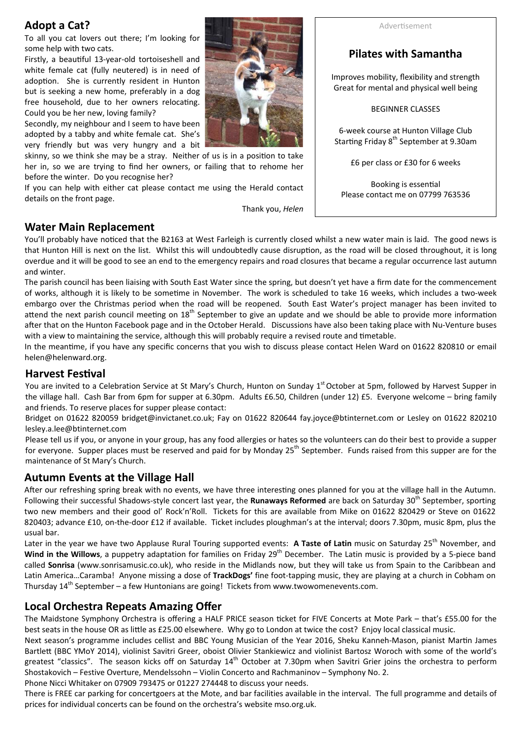## **Adopt a Cat?**

To all you cat lovers out there; I'm looking for some help with two cats.

Firstly, a beautiful 13-year-old tortoiseshell and white female cat (fully neutered) is in need of adoption. She is currently resident in Hunton but is seeking a new home, preferably in a dog free household, due to her owners relocating. Could you be her new, loving family?

Secondly, my neighbour and I seem to have been adopted by a tabby and white female cat. She's very friendly but was very hungry and a bit

skinny, so we think she may be a stray. Neither of us is in a position to take her in, so we are trying to find her owners, or failing that to rehome her before the winter. Do you recognise her?

If you can help with either cat please contact me using the Herald contact details on the front page.

Thank you, *Helen*

#### AdverƟsement

## **Pilates with Samantha**

Improves mobility, flexibility and strength Great for mental and physical well being

BEGINNER CLASSES

6-week course at Hunton Village Club Starting Friday 8<sup>th</sup> September at 9.30am

£6 per class or £30 for 6 weeks

Booking is essential Please contact me on 07799 763536

## **Water Main Replacement**

You'll probably have noticed that the B2163 at West Farleigh is currently closed whilst a new water main is laid. The good news is that Hunton Hill is next on the list. Whilst this will undoubtedly cause disruption, as the road will be closed throughout, it is long overdue and it will be good to see an end to the emergency repairs and road closures that became a regular occurrence last autumn and winter.

The parish council has been liaising with South East Water since the spring, but doesn't yet have a firm date for the commencement of works, although it is likely to be sometime in November. The work is scheduled to take 16 weeks, which includes a two-week embargo over the Christmas period when the road will be reopened. South East Water's project manager has been invited to attend the next parish council meeting on 18<sup>th</sup> September to give an update and we should be able to provide more information after that on the Hunton Facebook page and in the October Herald. Discussions have also been taking place with Nu-Venture buses with a view to maintaining the service, although this will probably require a revised route and timetable.

In the meantime, if you have any specific concerns that you wish to discuss please contact Helen Ward on 01622 820810 or email helen@helenward.org.

## **Harvest Festival**

You are invited to a Celebration Service at St Mary's Church, Hunton on Sunday 1<sup>st</sup> October at 5pm, followed by Harvest Supper in the village hall. Cash Bar from 6pm for supper at 6.30pm. Adults £6.50, Children (under 12) £5. Everyone welcome – bring family and friends. To reserve places for supper please contact:

Bridget on 01622 820059 bridget@invictanet.co.uk; Fay on 01622 820644 fay.joyce@btinternet.com or Lesley on 01622 820210 lesley.a.lee@btinternet.com

Please tell us if you, or anyone in your group, has any food allergies or hates so the volunteers can do their best to provide a supper for everyone. Supper places must be reserved and paid for by Monday  $25<sup>th</sup>$  September. Funds raised from this supper are for the maintenance of St Mary's Church.

## **Autumn Events at the Village Hall**

After our refreshing spring break with no events, we have three interesting ones planned for you at the village hall in the Autumn. Following their successful Shadows-style concert last year, the **Runaways Reformed** are back on Saturday 30<sup>th</sup> September, sporting two new members and their good ol' Rock'n'Roll. Tickets for this are available from Mike on 01622 820429 or Steve on 01622 820403; advance £10, on-the-door £12 if available. Ticket includes ploughman's at the interval; doors 7.30pm, music 8pm, plus the usual bar.

Later in the year we have two Applause Rural Touring supported events: A Taste of Latin music on Saturday 25<sup>th</sup> November, and Wind in the Willows, a puppetry adaptation for families on Friday 29<sup>th</sup> December. The Latin music is provided by a 5-piece band called **Sonrisa** (www.sonrisamusic.co.uk), who reside in the Midlands now, but they will take us from Spain to the Caribbean and Latin America…Caramba! Anyone missing a dose of **TrackDogs'** fine foot-tapping music, they are playing at a church in Cobham on Thursday  $14<sup>th</sup>$  September – a few Huntonians are going! Tickets from www.twowomenevents.com.

## **Local Orchestra Repeats Amazing Offer**

The Maidstone Symphony Orchestra is offering a HALF PRICE season ticket for FIVE Concerts at Mote Park – that's £55.00 for the best seats in the house OR as little as £25.00 elsewhere. Why go to London at twice the cost? Enjoy local classical music.

Next season's programme includes cellist and BBC Young Musician of the Year 2016, Sheku Kanneh-Mason, pianist Martin James Bartlett (BBC YMoY 2014), violinist Savitri Greer, oboist Olivier Stankiewicz and violinist Bartosz Woroch with some of the world's greatest "classics". The season kicks off on Saturday 14<sup>th</sup> October at 7.30pm when Savitri Grier joins the orchestra to perform Shostakovich – Festive Overture, Mendelssohn – Violin Concerto and Rachmaninov – Symphony No. 2.

Phone Nicci Whitaker on 07909 793475 or 01227 274448 to discuss your needs.

There is FREE car parking for concertgoers at the Mote, and bar facilities available in the interval. The full programme and details of prices for individual concerts can be found on the orchestra's website mso.org.uk.